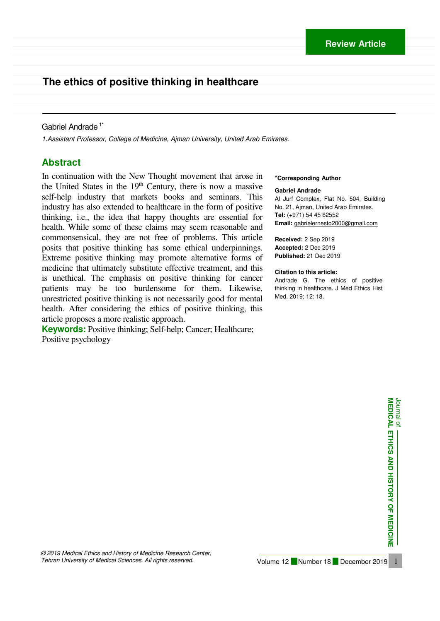# \_\_\_\_\_\_\_\_\_\_\_\_\_\_\_\_\_\_\_\_\_\_\_\_\_\_\_\_\_\_\_\_\_\_\_\_\_\_\_\_\_\_\_\_\_\_\_\_\_\_\_\_\_\_\_\_\_\_\_\_\_\_\_\_\_\_\_\_\_\_\_\_\_\_\_\_\_\_\_\_\_\_\_\_\_\_\_\_\_\_\_\_\_\_\_\_\_\_\_\_\_\_\_\_\_\_\_\_\_\_\_\_\_\_\_\_\_\_\_\_\_\_\_\_\_\_\_\_\_\_\_\_\_\_\_\_\_\_\_\_ **The ethics of positive thinking in healthcare**

### Gabriel Andrade<sup>1\*</sup>

*1.Assistant Professor, College of Medicine, Ajman University, United Arab Emirates.* 

 $\mathcal{L} = \{ \mathcal{L} = \{ \mathcal{L} = \{ \mathcal{L} = \{ \mathcal{L} = \{ \mathcal{L} = \{ \mathcal{L} = \{ \mathcal{L} = \{ \mathcal{L} = \{ \mathcal{L} = \{ \mathcal{L} = \{ \mathcal{L} = \{ \mathcal{L} = \{ \mathcal{L} = \{ \mathcal{L} = \{ \mathcal{L} = \{ \mathcal{L} = \{ \mathcal{L} = \{ \mathcal{L} = \{ \mathcal{L} = \{ \mathcal{L} = \{ \mathcal{L} = \{ \mathcal{L} = \{ \mathcal{L} = \{ \mathcal{$ 

 $\mathcal{L} = \mathcal{L} = \mathcal{L} = \mathcal{L} = \mathcal{L} = \mathcal{L} = \mathcal{L} = \mathcal{L} = \mathcal{L} = \mathcal{L} = \mathcal{L} = \mathcal{L} = \mathcal{L} = \mathcal{L} = \mathcal{L} = \mathcal{L} = \mathcal{L} = \mathcal{L} = \mathcal{L} = \mathcal{L} = \mathcal{L} = \mathcal{L} = \mathcal{L} = \mathcal{L} = \mathcal{L} = \mathcal{L} = \mathcal{L} = \mathcal{L} = \mathcal{L} = \mathcal{L} = \mathcal{L} = \mathcal$ 

 $\ldots$  . The contribution of the contribution of the contribution of the contribution of the contribution of the contribution of the contribution of the contribution of the contribution of the contribution of the contribut

### **Abstract**

In continuation with the New Thought movement that arose in the United States in the  $19<sup>th</sup>$  Century, there is now a massive self-help industry that markets books and seminars. This industry has also extended to healthcare in the form of positive thinking, i.e., the idea that happy thoughts are essential for health. While some of these claims may seem reasonable and commonsensical, they are not free of problems. This article posits that positive thinking has some ethical underpinnings. Extreme positive thinking may promote alternative forms of medicine that ultimately substitute effective treatment, and this is unethical. The emphasis on positive thinking for cancer patients may be too burdensome for them. Likewise, unrestricted positive thinking is not necessarily good for mental health. After considering the ethics of positive thinking, this article proposes a more realistic approach.

**Keywords:** Positive thinking; Self-help; Cancer; Healthcare; Positive psychology

#### **\*Corresponding Author**

#### **Gabriel Andrade**

Al Jurf Complex, Flat No. 504, Building No. 21, Ajman, United Arab Emirates. **Tel:** (+971) 54 45 62552 **Email:** gabrielernesto2000@gmail.com

**Received:** 2 Sep 2019 **Accepted:** 2 Dec 2019 **Published:** 21 Dec 2019

#### **Citation to this article:**

Andrade G. The ethics of positive thinking in healthcare. J Med Ethics Hist Med. 2019; 12: 18.

> Journal of<br>MEDICAL ETHICS AND HISTORY OF MEDICINE **MEDICAL ETHICS AND HISTORY OF MEDICINE**

Journal of

*© 2019 Medical Ethics and History of Medicine Research Center, Tehran University of Medical Sciences. All rights reserved.*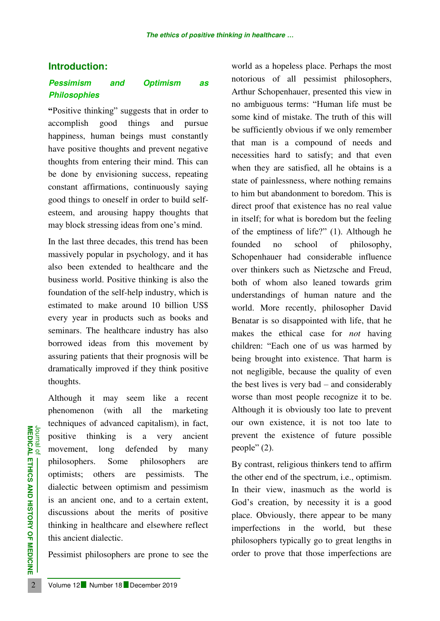# **Introduction:**

# *Pessimism and Optimism as Philosophies*

**"**Positive thinking" suggests that in order to accomplish good things and pursue happiness, human beings must constantly have positive thoughts and prevent negative thoughts from entering their mind. This can be done by envisioning success, repeating constant affirmations, continuously saying good things to oneself in order to build selfesteem, and arousing happy thoughts that may block stressing ideas from one's mind.

In the last three decades, this trend has been massively popular in psychology, and it has also been extended to healthcare and the business world. Positive thinking is also the foundation of the self-help industry, which is estimated to make around 10 billion US\$ every year in products such as books and seminars. The healthcare industry has also borrowed ideas from this movement by assuring patients that their prognosis will be dramatically improved if they think positive thoughts.

**EXAMPLE 12 Number 18** December 2019<br> **2** Volume 12 Number 18 December 2019<br> **2** Volume 12 Number 18 December 2019<br> **2** Volume 12 Number 18 December 2019 Although it may seem like a recent phenomenon (with all the marketing techniques of advanced capitalism), in fact, positive thinking is a very ancient movement, long defended by many philosophers. Some philosophers are optimists; others are pessimists. The dialectic between optimism and pessimism is an ancient one, and to a certain extent, discussions about the merits of positive thinking in healthcare and elsewhere reflect this ancient dialectic.

Pessimist philosophers are prone to see the

world as a hopeless place. Perhaps the most notorious of all pessimist philosophers, Arthur Schopenhauer, presented this view in no ambiguous terms: "Human life must be some kind of mistake. The truth of this will be sufficiently obvious if we only remember that man is a compound of needs and necessities hard to satisfy; and that even when they are satisfied, all he obtains is a state of painlessness, where nothing remains to him but abandonment to boredom. This is direct proof that existence has no real value in itself; for what is boredom but the feeling of the emptiness of life?" (1). Although he founded no school of philosophy, Schopenhauer had considerable influence over thinkers such as Nietzsche and Freud, both of whom also leaned towards grim understandings of human nature and the world. More recently, philosopher David Benatar is so disappointed with life, that he makes the ethical case for *not* having children: "Each one of us was harmed by being brought into existence. That harm is not negligible, because the quality of even the best lives is very bad – and considerably worse than most people recognize it to be. Although it is obviously too late to prevent our own existence, it is not too late to prevent the existence of future possible people" (2).

By contrast, religious thinkers tend to affirm the other end of the spectrum, i.e., optimism. In their view, inasmuch as the world is God's creation, by necessity it is a good place. Obviously, there appear to be many imperfections in the world, but these philosophers typically go to great lengths in order to prove that those imperfections are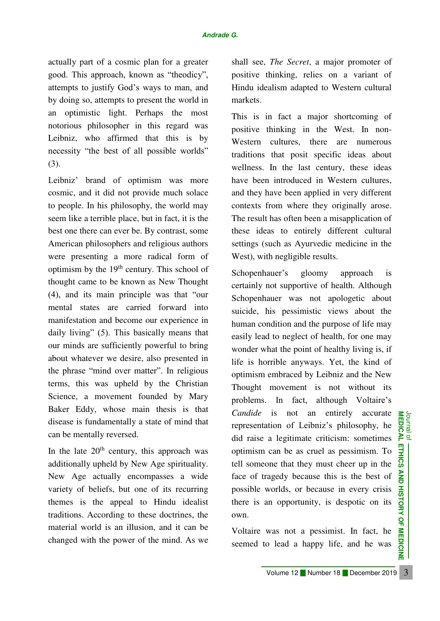### *Andrade G.*

actually part of a cosmic plan for a greater good. This approach, known as "theodicy", attempts to justify God's ways to man, and by doing so, attempts to present the world in an optimistic light. Perhaps the most notorious philosopher in this regard was Leibniz, who affirmed that this is by necessity "the best of all possible worlds" (3).

Leibniz' brand of optimism was more cosmic, and it did not provide much solace to people. In his philosophy, the world may seem like a terrible place, but in fact, it is the best one there can ever be. By contrast, some American philosophers and religious authors were presenting a more radical form of optimism by the  $19<sup>th</sup>$  century. This school of thought came to be known as New Thought (4), and its main principle was that "our mental states are carried forward into manifestation and become our experience in daily living" (5). This basically means that our minds are sufficiently powerful to bring about whatever we desire, also presented in the phrase "mind over matter". In religious terms, this was upheld by the Christian Science, a movement founded by Mary Baker Eddy, whose main thesis is that disease is fundamentally a state of mind that can be mentally reversed.

In the late  $20<sup>th</sup>$  century, this approach was additionally upheld by New Age spirituality. New Age actually encompasses a wide variety of beliefs, but one of its recurring themes is the appeal to Hindu idealist traditions. According to these doctrines, the material world is an illusion, and it can be changed with the power of the mind. As we

shall see, *The Secret*, a major promoter of positive thinking, relies on a variant of Hindu idealism adapted to Western cultural markets.

This is in fact a major shortcoming of positive thinking in the West. In non-Western cultures, there are numerous traditions that posit specific ideas about wellness. In the last century, these ideas have been introduced in Western cultures, and they have been applied in very different contexts from where they originally arose. The result has often been a misapplication of these ideas to entirely different cultural settings (such as Ayurvedic medicine in the West), with negligible results.

Schopenhauer's gloomy approach is certainly not supportive of health. Although Schopenhauer was not apologetic about suicide, his pessimistic views about the human condition and the purpose of life may easily lead to neglect of health, for one may wonder what the point of healthy living is, if life is horrible anyways. Yet, the kind of optimism embraced by Leibniz and the New Thought movement is not without its problems. In fact, although Voltaire's *Candide* is not an entirely accurate representation of Leibniz's philosophy, he did raise a legitimate criticism: sometimes optimism can be as cruel as pessimism. To tell someone that they must cheer up in the face of tragedy because this is the best of possible worlds, or because in every crisis there is an opportunity, is despotic on its own.

Voltaire was not a pessimist. In fact, he seemed to lead a happy life, and he was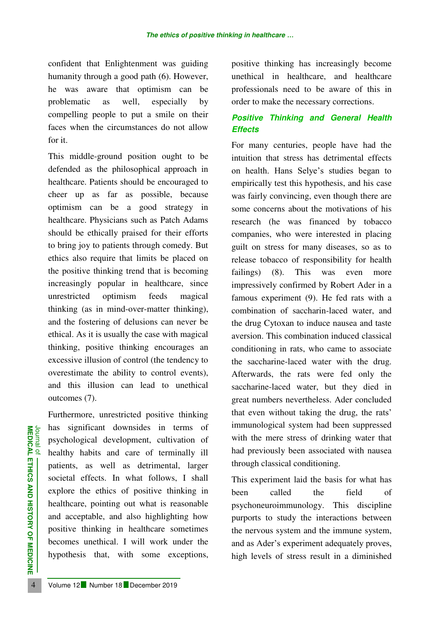confident that Enlightenment was guiding humanity through a good path (6). However, he was aware that optimism can be problematic as well, especially by compelling people to put a smile on their faces when the circumstances do not allow for it.

This middle-ground position ought to be defended as the philosophical approach in healthcare. Patients should be encouraged to cheer up as far as possible, because optimism can be a good strategy in healthcare. Physicians such as Patch Adams should be ethically praised for their efforts to bring joy to patients through comedy. But ethics also require that limits be placed on the positive thinking trend that is becoming increasingly popular in healthcare, since unrestricted optimism feeds magical thinking (as in mind-over-matter thinking), and the fostering of delusions can never be ethical. As it is usually the case with magical thinking, positive thinking encourages an excessive illusion of control (the tendency to overestimate the ability to control events), and this illusion can lead to unethical outcomes (7).

**EXECTED AND FORMAT CONSUMERED AND FORMAT CONSUMERED AND AND SOCIETAL ENERGY CONSUMERED SOCIETAL ENERGY CONSUMERED AND SOCIETAL ENERGY CONSUMERED AND AND AND AND SOCIETAL TO MEDICINETY AND AND AND SOCIETAL TO MEDICINETY OF** Furthermore, unrestricted positive thinking has significant downsides in terms of psychological development, cultivation of healthy habits and care of terminally ill patients, as well as detrimental, larger societal effects. In what follows, I shall explore the ethics of positive thinking in healthcare, pointing out what is reasonable and acceptable, and also highlighting how positive thinking in healthcare sometimes becomes unethical. I will work under the hypothesis that, with some exceptions, positive thinking has increasingly become unethical in healthcare, and healthcare professionals need to be aware of this in order to make the necessary corrections.

# *Positive Thinking and General Health Effects*

For many centuries, people have had the intuition that stress has detrimental effects on health. Hans Selye's studies began to empirically test this hypothesis, and his case was fairly convincing, even though there are some concerns about the motivations of his research (he was financed by tobacco companies, who were interested in placing guilt on stress for many diseases, so as to release tobacco of responsibility for health failings) (8). This was even more impressively confirmed by Robert Ader in a famous experiment (9). He fed rats with a combination of saccharin-laced water, and the drug Cytoxan to induce nausea and taste aversion. This combination induced classical conditioning in rats, who came to associate the saccharine-laced water with the drug. Afterwards, the rats were fed only the saccharine-laced water, but they died in great numbers nevertheless. Ader concluded that even without taking the drug, the rats' immunological system had been suppressed with the mere stress of drinking water that had previously been associated with nausea through classical conditioning.

This experiment laid the basis for what has been called the field of psychoneuroimmunology. This discipline purports to study the interactions between the nervous system and the immune system, and as Ader's experiment adequately proves, high levels of stress result in a diminished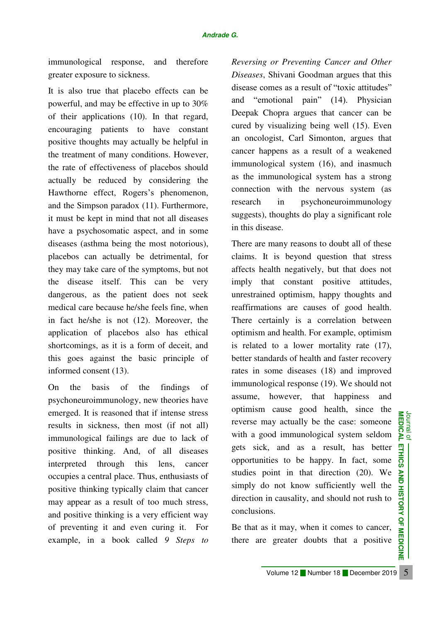immunological response, and therefore greater exposure to sickness.

It is also true that placebo effects can be powerful, and may be effective in up to 30% of their applications (10). In that regard, encouraging patients to have constant positive thoughts may actually be helpful in the treatment of many conditions. However, the rate of effectiveness of placebos should actually be reduced by considering the Hawthorne effect, Rogers's phenomenon, and the Simpson paradox (11). Furthermore, it must be kept in mind that not all diseases have a psychosomatic aspect, and in some diseases (asthma being the most notorious), placebos can actually be detrimental, for they may take care of the symptoms, but not the disease itself. This can be very dangerous, as the patient does not seek medical care because he/she feels fine, when in fact he/she is not (12). Moreover, the application of placebos also has ethical shortcomings, as it is a form of deceit, and this goes against the basic principle of informed consent (13).

On the basis of the findings of psychoneuroimmunology, new theories have emerged. It is reasoned that if intense stress results in sickness, then most (if not all) immunological failings are due to lack of positive thinking. And, of all diseases interpreted through this lens, cancer occupies a central place. Thus, enthusiasts of positive thinking typically claim that cancer may appear as a result of too much stress, and positive thinking is a very efficient way of preventing it and even curing it. For example, in a book called *9 Steps to* 

*Reversing or Preventing Cancer and Other Diseases*, Shivani Goodman argues that this disease comes as a result of "toxic attitudes" and "emotional pain" (14). Physician Deepak Chopra argues that cancer can be cured by visualizing being well (15). Even an oncologist, Carl Simonton, argues that cancer happens as a result of a weakened immunological system (16), and inasmuch as the immunological system has a strong connection with the nervous system (as research in psychoneuroimmunology suggests), thoughts do play a significant role in this disease.

There are many reasons to doubt all of these claims. It is beyond question that stress affects health negatively, but that does not imply that constant positive attitudes, unrestrained optimism, happy thoughts and reaffirmations are causes of good health. There certainly is a correlation between optimism and health. For example, optimism is related to a lower mortality rate (17), better standards of health and faster recovery rates in some diseases (18) and improved immunological response (19). We should not assume, however, that happiness and optimism cause good health, since the Journal of<br>MEDICAL reverse may actually be the case: someone with a good immunological system seldom gets sick, and as a result, has better opportunities to be happy. In fact, some studies point in that direction (20). We simply do not know sufficiently well the direction in causality, and should not rush to conclusions.

Be that as it may, when it comes to cancer, there are greater doubts that a positive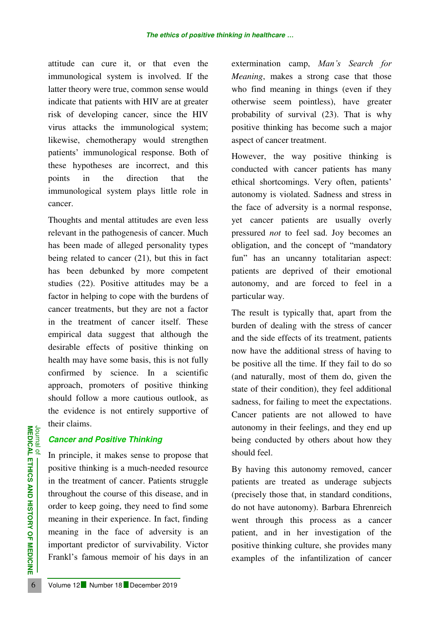attitude can cure it, or that even the immunological system is involved. If the latter theory were true, common sense would indicate that patients with HIV are at greater risk of developing cancer, since the HIV virus attacks the immunological system; likewise, chemotherapy would strengthen patients' immunological response. Both of these hypotheses are incorrect, and this points in the direction that the immunological system plays little role in cancer.

Thoughts and mental attitudes are even less relevant in the pathogenesis of cancer. Much has been made of alleged personality types being related to cancer (21), but this in fact has been debunked by more competent studies (22). Positive attitudes may be a factor in helping to cope with the burdens of cancer treatments, but they are not a factor in the treatment of cancer itself. These empirical data suggest that although the desirable effects of positive thinking on health may have some basis, this is not fully confirmed by science. In a scientific approach, promoters of positive thinking should follow a more cautious outlook, as the evidence is not entirely supportive of their claims.

## *Cancer and Positive Thinking*

**EXAMPLE 12 Number 18 December 2019**<br> **EXAMPLE 12 In principle, it makes sense to propressure thinking is a much-needed**<br>
in the treatment of cancer. Patients<br>
throughout the course of this diseas<br>
order to keep going, the In principle, it makes sense to propose that positive thinking is a much-needed resource in the treatment of cancer. Patients struggle throughout the course of this disease, and in order to keep going, they need to find some meaning in their experience. In fact, finding meaning in the face of adversity is an important predictor of survivability. Victor Frankl's famous memoir of his days in an

extermination camp, *Man's Search for Meaning*, makes a strong case that those who find meaning in things (even if they otherwise seem pointless), have greater probability of survival (23). That is why positive thinking has become such a major aspect of cancer treatment.

However, the way positive thinking is conducted with cancer patients has many ethical shortcomings. Very often, patients' autonomy is violated. Sadness and stress in the face of adversity is a normal response, yet cancer patients are usually overly pressured *not* to feel sad. Joy becomes an obligation, and the concept of "mandatory fun" has an uncanny totalitarian aspect: patients are deprived of their emotional autonomy, and are forced to feel in a particular way.

The result is typically that, apart from the burden of dealing with the stress of cancer and the side effects of its treatment, patients now have the additional stress of having to be positive all the time. If they fail to do so (and naturally, most of them do, given the state of their condition), they feel additional sadness, for failing to meet the expectations. Cancer patients are not allowed to have autonomy in their feelings, and they end up being conducted by others about how they should feel.

By having this autonomy removed, cancer patients are treated as underage subjects (precisely those that, in standard conditions, do not have autonomy). Barbara Ehrenreich went through this process as a cancer patient, and in her investigation of the positive thinking culture, she provides many examples of the infantilization of cancer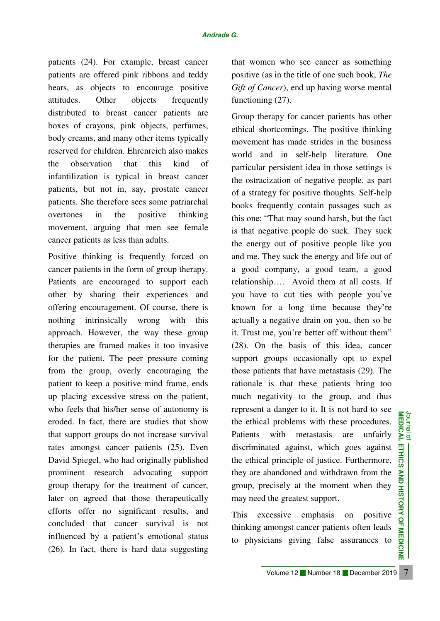patients (24). For example, breast cancer patients are offered pink ribbons and teddy bears, as objects to encourage positive attitudes. Other objects frequently distributed to breast cancer patients are boxes of crayons, pink objects, perfumes, body creams, and many other items typically reserved for children. Ehrenreich also makes the observation that this kind of infantilization is typical in breast cancer patients, but not in, say, prostate cancer patients. She therefore sees some patriarchal overtones in the positive thinking movement, arguing that men see female cancer patients as less than adults.

Positive thinking is frequently forced on cancer patients in the form of group therapy. Patients are encouraged to support each other by sharing their experiences and offering encouragement. Of course, there is nothing intrinsically wrong with this approach. However, the way these group therapies are framed makes it too invasive for the patient. The peer pressure coming from the group, overly encouraging the patient to keep a positive mind frame, ends up placing excessive stress on the patient, who feels that his/her sense of autonomy is eroded. In fact, there are studies that show that support groups do not increase survival rates amongst cancer patients (25). Even David Spiegel, who had originally published prominent research advocating support group therapy for the treatment of cancer, later on agreed that those therapeutically efforts offer no significant results, and concluded that cancer survival is not influenced by a patient's emotional status (26). In fact, there is hard data suggesting that women who see cancer as something positive (as in the title of one such book, *The Gift of Cancer*), end up having worse mental functioning  $(27)$ .

Group therapy for cancer patients has other ethical shortcomings. The positive thinking movement has made strides in the business world and in self-help literature. One particular persistent idea in those settings is the ostracization of negative people, as part of a strategy for positive thoughts. Self-help books frequently contain passages such as this one: "That may sound harsh, but the fact is that negative people do suck. They suck the energy out of positive people like you and me. They suck the energy and life out of a good company, a good team, a good relationship…. Avoid them at all costs. If you have to cut ties with people you've known for a long time because they're actually a negative drain on you, then so be it. Trust me, you're better off without them" (28). On the basis of this idea, cancer support groups occasionally opt to expel those patients that have metastasis (29). The rationale is that these patients bring too much negativity to the group, and thus represent a danger to it. It is not hard to see the ethical problems with these procedures. Patients with metastasis are unfairly discriminated against, which goes against the ethical principle of justice. Furthermore, they are abandoned and withdrawn from the group, precisely at the moment when they may need the greatest support.

This excessive emphasis on positive thinking amongst cancer patients often leads to physicians giving false assurances to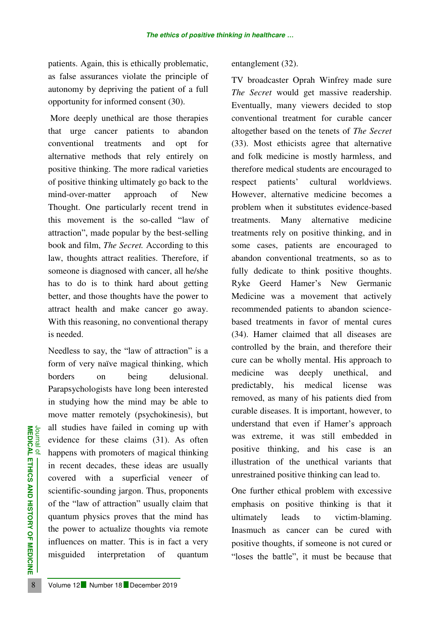patients. Again, this is ethically problematic, as false assurances violate the principle of autonomy by depriving the patient of a full opportunity for informed consent (30).

 More deeply unethical are those therapies that urge cancer patients to abandon conventional treatments and opt for alternative methods that rely entirely on positive thinking. The more radical varieties of positive thinking ultimately go back to the mind-over-matter approach of New Thought. One particularly recent trend in this movement is the so-called "law of attraction", made popular by the best-selling book and film, *The Secret.* According to this law, thoughts attract realities. Therefore, if someone is diagnosed with cancer, all he/she has to do is to think hard about getting better, and those thoughts have the power to attract health and make cancer go away. With this reasoning, no conventional therapy is needed.

**EXAMPLE 12 Number 18 December 2019**<br> **8 Analysis Colume 12 Number 18 December 2019**<br> **8 Analysis Colume 12 Number 18 December 2019**<br> **8 Analysis Colume 12 Number 18 December 2019**<br> **8 EXAMPLE 18 Number 18 December 201** Needless to say, the "law of attraction" is a form of very naïve magical thinking, which borders on being delusional. Parapsychologists have long been interested in studying how the mind may be able to move matter remotely (psychokinesis), but all studies have failed in coming up with evidence for these claims (31). As often happens with promoters of magical thinking in recent decades, these ideas are usually covered with a superficial veneer of scientific-sounding jargon. Thus, proponents of the "law of attraction" usually claim that quantum physics proves that the mind has the power to actualize thoughts via remote influences on matter. This is in fact a very misguided interpretation of quantum

## entanglement (32).

TV broadcaster Oprah Winfrey made sure *The Secret* would get massive readership. Eventually, many viewers decided to stop conventional treatment for curable cancer altogether based on the tenets of *The Secret*  (33). Most ethicists agree that alternative and folk medicine is mostly harmless, and therefore medical students are encouraged to respect patients' cultural worldviews. However, alternative medicine becomes a problem when it substitutes evidence-based treatments. Many alternative medicine treatments rely on positive thinking, and in some cases, patients are encouraged to abandon conventional treatments, so as to fully dedicate to think positive thoughts. Ryke Geerd Hamer's New Germanic Medicine was a movement that actively recommended patients to abandon sciencebased treatments in favor of mental cures (34). Hamer claimed that all diseases are controlled by the brain, and therefore their cure can be wholly mental. His approach to medicine was deeply unethical, and predictably, his medical license was removed, as many of his patients died from curable diseases. It is important, however, to understand that even if Hamer's approach was extreme, it was still embedded in positive thinking, and his case is an illustration of the unethical variants that unrestrained positive thinking can lead to.

One further ethical problem with excessive emphasis on positive thinking is that it ultimately leads to victim-blaming. Inasmuch as cancer can be cured with positive thoughts, if someone is not cured or "loses the battle", it must be because that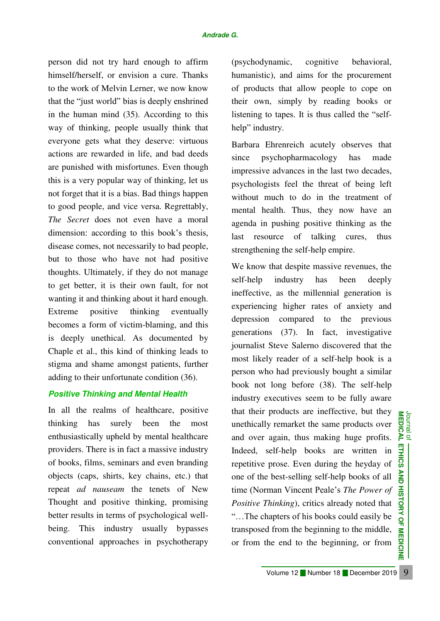#### *Andrade G.*

person did not try hard enough to affirm himself/herself, or envision a cure. Thanks to the work of Melvin Lerner, we now know that the "just world" bias is deeply enshrined in the human mind (35). According to this way of thinking, people usually think that everyone gets what they deserve: virtuous actions are rewarded in life, and bad deeds are punished with misfortunes. Even though this is a very popular way of thinking, let us not forget that it is a bias. Bad things happen to good people, and vice versa. Regrettably, *The Secret* does not even have a moral dimension: according to this book's thesis, disease comes, not necessarily to bad people, but to those who have not had positive thoughts. Ultimately, if they do not manage to get better, it is their own fault, for not wanting it and thinking about it hard enough. Extreme positive thinking eventually becomes a form of victim-blaming, and this is deeply unethical. As documented by Chaple et al., this kind of thinking leads to stigma and shame amongst patients, further adding to their unfortunate condition (36).

## *Positive Thinking and Mental Health*

In all the realms of healthcare, positive thinking has surely been the most enthusiastically upheld by mental healthcare providers. There is in fact a massive industry of books, films, seminars and even branding objects (caps, shirts, key chains, etc.) that repeat *ad nauseam* the tenets of New Thought and positive thinking, promising better results in terms of psychological wellbeing. This industry usually bypasses conventional approaches in psychotherapy

(psychodynamic, cognitive behavioral, humanistic), and aims for the procurement of products that allow people to cope on their own, simply by reading books or listening to tapes. It is thus called the "selfhelp" industry.

Barbara Ehrenreich acutely observes that since psychopharmacology has made impressive advances in the last two decades, psychologists feel the threat of being left without much to do in the treatment of mental health. Thus, they now have an agenda in pushing positive thinking as the last resource of talking cures, thus strengthening the self-help empire.

We know that despite massive revenues, the self-help industry has been deeply ineffective, as the millennial generation is experiencing higher rates of anxiety and depression compared to the previous generations (37). In fact, investigative journalist Steve Salerno discovered that the most likely reader of a self-help book is a person who had previously bought a similar book not long before (38). The self-help industry executives seem to be fully aware that their products are ineffective, but they Journal of<br>**MEDICAL** unethically remarket the same products over and over again, thus making huge profits. Indeed, self-help books are written in repetitive prose. Even during the heyday of  $\overline{Q}$ one of the best-selling self-help books of all time (Norman Vincent Peale's *The Power of Positive Thinking*), critics already noted that "…The chapters of his books could easily be transposed from the beginning to the middle, or from the end to the beginning, or from

믳

ND

**HISTORY OF MEDICINE**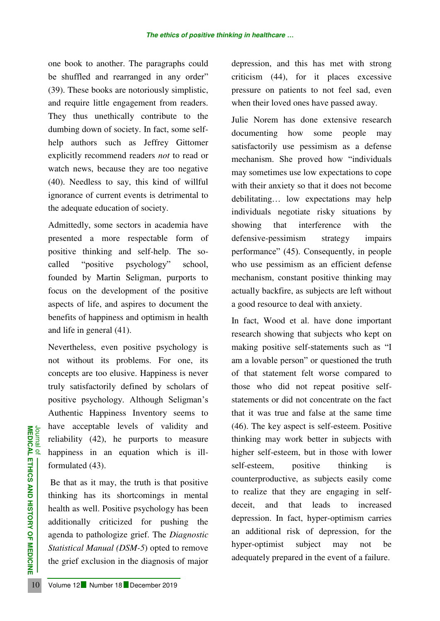one book to another. The paragraphs could be shuffled and rearranged in any order" (39). These books are notoriously simplistic, and require little engagement from readers. They thus unethically contribute to the dumbing down of society. In fact, some selfhelp authors such as Jeffrey Gittomer explicitly recommend readers *not* to read or watch news, because they are too negative (40). Needless to say, this kind of willful ignorance of current events is detrimental to the adequate education of society.

Admittedly, some sectors in academia have presented a more respectable form of positive thinking and self-help. The socalled "positive psychology" school, founded by Martin Seligman, purports to focus on the development of the positive aspects of life, and aspires to document the benefits of happiness and optimism in health and life in general (41).

Nevertheless, even positive psychology is not without its problems. For one, its concepts are too elusive. Happiness is never truly satisfactorily defined by scholars of positive psychology. Although Seligman's Authentic Happiness Inventory seems to have acceptable levels of validity and reliability (42), he purports to measure happiness in an equation which is illformulated (43).

**EXECUTE 10** Internation of Tevers of Vantion entired (42), he purports to happiness in an equation which formulated (43).<br>
Be that as it may, the truth is that thinking has its shortcomings in health as well. Positive ps Be that as it may, the truth is that positive thinking has its shortcomings in mental health as well. Positive psychology has been additionally criticized for pushing the agenda to pathologize grief. The *Diagnostic Statistical Manual (DSM-5*) opted to remove the grief exclusion in the diagnosis of major

depression, and this has met with strong criticism (44), for it places excessive pressure on patients to not feel sad, even when their loved ones have passed away.

Julie Norem has done extensive research documenting how some people may satisfactorily use pessimism as a defense mechanism. She proved how "individuals may sometimes use low expectations to cope with their anxiety so that it does not become debilitating… low expectations may help individuals negotiate risky situations by showing that interference with the defensive-pessimism strategy impairs performance" (45). Consequently, in people who use pessimism as an efficient defense mechanism, constant positive thinking may actually backfire, as subjects are left without a good resource to deal with anxiety.

In fact, Wood et al. have done important research showing that subjects who kept on making positive self-statements such as "I am a lovable person" or questioned the truth of that statement felt worse compared to those who did not repeat positive selfstatements or did not concentrate on the fact that it was true and false at the same time (46). The key aspect is self-esteem. Positive thinking may work better in subjects with higher self-esteem, but in those with lower self-esteem, positive thinking is counterproductive, as subjects easily come to realize that they are engaging in selfdeceit, and that leads to increased depression. In fact, hyper-optimism carries an additional risk of depression, for the hyper-optimist subject may not be adequately prepared in the event of a failure.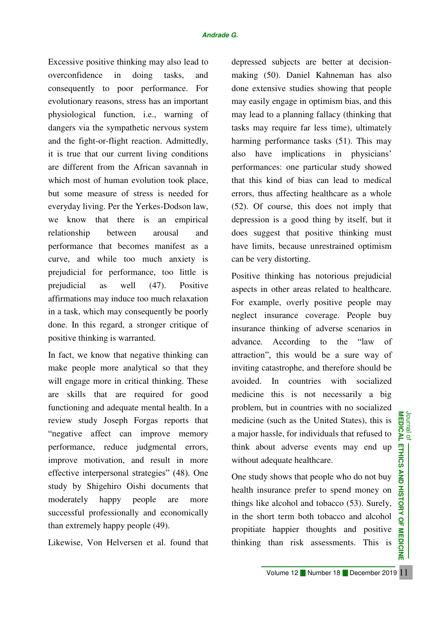Excessive positive thinking may also lead to overconfidence in doing tasks, and consequently to poor performance. For evolutionary reasons, stress has an important physiological function, i.e., warning of dangers via the sympathetic nervous system and the fight-or-flight reaction. Admittedly, it is true that our current living conditions are different from the African savannah in which most of human evolution took place, but some measure of stress is needed for everyday living. Per the Yerkes-Dodson law, we know that there is an empirical relationship between arousal and performance that becomes manifest as a curve, and while too much anxiety is prejudicial for performance, too little is prejudicial as well (47). Positive affirmations may induce too much relaxation in a task, which may consequently be poorly done. In this regard, a stronger critique of positive thinking is warranted.

In fact, we know that negative thinking can make people more analytical so that they will engage more in critical thinking. These are skills that are required for good functioning and adequate mental health. In a review study Joseph Forgas reports that "negative affect can improve memory performance, reduce judgmental errors, improve motivation, and result in more effective interpersonal strategies" (48). One study by Shigehiro Oishi documents that moderately happy people are more successful professionally and economically than extremely happy people (49).

Likewise, Von Helversen et al. found that

depressed subjects are better at decisionmaking (50). Daniel Kahneman has also done extensive studies showing that people may easily engage in optimism bias, and this may lead to a planning fallacy (thinking that tasks may require far less time), ultimately harming performance tasks (51). This may also have implications in physicians' performances: one particular study showed that this kind of bias can lead to medical errors, thus affecting healthcare as a whole (52). Of course, this does not imply that depression is a good thing by itself, but it does suggest that positive thinking must have limits, because unrestrained optimism can be very distorting.

Positive thinking has notorious prejudicial aspects in other areas related to healthcare. For example, overly positive people may neglect insurance coverage. People buy insurance thinking of adverse scenarios in advance. According to the "law of attraction", this would be a sure way of inviting catastrophe, and therefore should be avoided. In countries with socialized medicine this is not necessarily a big problem, but in countries with no socialized Journal of **AND MEDICAL ETHICS AND** medicine (such as the United States), this is a major hassle, for individuals that refused to think about adverse events may end up without adequate healthcare.

One study shows that people who do not buy health insurance prefer to spend money on things like alcohol and tobacco (53). Surely, in the short term both tobacco and alcohol propitiate happier thoughts and positive thinking than risk assessments. This is

**HISTORY OF MEDICINE**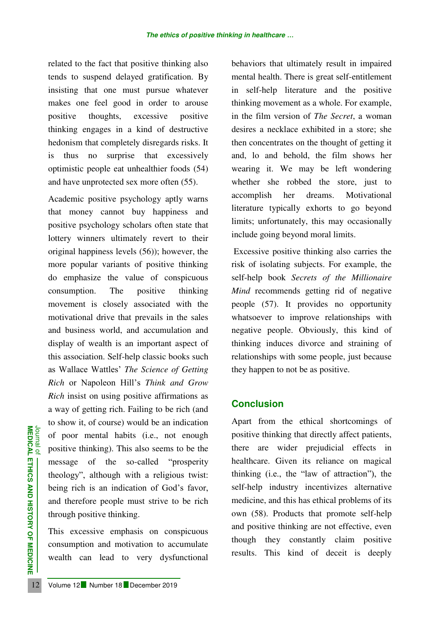related to the fact that positive thinking also tends to suspend delayed gratification. By insisting that one must pursue whatever makes one feel good in order to arouse positive thoughts, excessive positive thinking engages in a kind of destructive hedonism that completely disregards risks. It is thus no surprise that excessively optimistic people eat unhealthier foods (54) and have unprotected sex more often (55).

**EXECTED AND SUBDER CONCRETED ANOTEST CONCRETED AND SUBDER CONCRETED SUBDER CONCRETED SUBDER CONCRETED SUBDER CONCRETED SUBDER CONCRETED SUBDER CONCRETED SUBDER This excessive emphasis on conconconcumption and motivation t** Academic positive psychology aptly warns that money cannot buy happiness and positive psychology scholars often state that lottery winners ultimately revert to their original happiness levels (56)); however, the more popular variants of positive thinking do emphasize the value of conspicuous consumption. The positive thinking movement is closely associated with the motivational drive that prevails in the sales and business world, and accumulation and display of wealth is an important aspect of this association. Self-help classic books such as Wallace Wattles' *The Science of Getting Rich* or Napoleon Hill's *Think and Grow Rich* insist on using positive affirmations as a way of getting rich. Failing to be rich (and to show it, of course) would be an indication of poor mental habits (i.e., not enough positive thinking). This also seems to be the message of the so-called "prosperity theology", although with a religious twist: being rich is an indication of God's favor, and therefore people must strive to be rich through positive thinking.

This excessive emphasis on conspicuous consumption and motivation to accumulate wealth can lead to very dysfunctional

behaviors that ultimately result in impaired mental health. There is great self-entitlement in self-help literature and the positive thinking movement as a whole. For example, in the film version of *The Secret*, a woman desires a necklace exhibited in a store; she then concentrates on the thought of getting it and, lo and behold, the film shows her wearing it. We may be left wondering whether she robbed the store, just to accomplish her dreams. Motivational literature typically exhorts to go beyond limits; unfortunately, this may occasionally include going beyond moral limits.

 Excessive positive thinking also carries the risk of isolating subjects. For example, the self-help book *Secrets of the Millionaire Mind* recommends getting rid of negative people (57). It provides no opportunity whatsoever to improve relationships with negative people. Obviously, this kind of thinking induces divorce and straining of relationships with some people, just because they happen to not be as positive.

# **Conclusion**

Apart from the ethical shortcomings of positive thinking that directly affect patients, there are wider prejudicial effects in healthcare. Given its reliance on magical thinking (i.e., the "law of attraction"), the self-help industry incentivizes alternative medicine, and this has ethical problems of its own (58). Products that promote self-help and positive thinking are not effective, even though they constantly claim positive results. This kind of deceit is deeply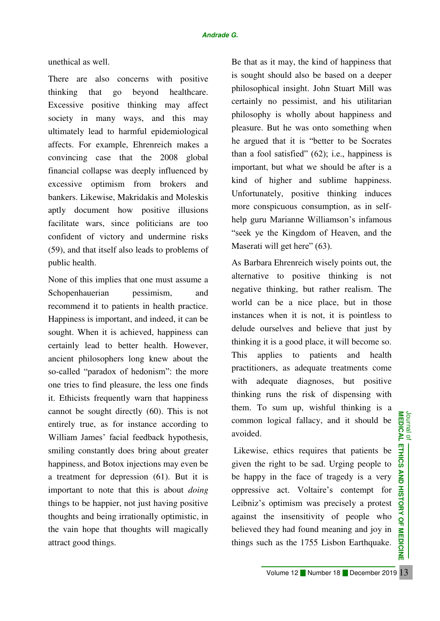### unethical as well.

There are also concerns with positive thinking that go beyond healthcare. Excessive positive thinking may affect society in many ways, and this may ultimately lead to harmful epidemiological affects. For example, Ehrenreich makes a convincing case that the 2008 global financial collapse was deeply influenced by excessive optimism from brokers and bankers. Likewise, Makridakis and Moleskis aptly document how positive illusions facilitate wars, since politicians are too confident of victory and undermine risks (59), and that itself also leads to problems of public health.

None of this implies that one must assume a Schopenhauerian pessimism, and recommend it to patients in health practice. Happiness is important, and indeed, it can be sought. When it is achieved, happiness can certainly lead to better health. However, ancient philosophers long knew about the so-called "paradox of hedonism": the more one tries to find pleasure, the less one finds it. Ethicists frequently warn that happiness cannot be sought directly (60). This is not entirely true, as for instance according to William James' facial feedback hypothesis, smiling constantly does bring about greater happiness, and Botox injections may even be a treatment for depression (61). But it is important to note that this is about *doing*  things to be happier, not just having positive thoughts and being irrationally optimistic, in the vain hope that thoughts will magically attract good things.

Be that as it may, the kind of happiness that is sought should also be based on a deeper philosophical insight. John Stuart Mill was certainly no pessimist, and his utilitarian philosophy is wholly about happiness and pleasure. But he was onto something when he argued that it is "better to be Socrates than a fool satisfied" (62); i.e., happiness is important, but what we should be after is a kind of higher and sublime happiness. Unfortunately, positive thinking induces more conspicuous consumption, as in selfhelp guru Marianne Williamson's infamous "seek ye the Kingdom of Heaven, and the Maserati will get here" (63).

As Barbara Ehrenreich wisely points out, the alternative to positive thinking is not negative thinking, but rather realism. The world can be a nice place, but in those instances when it is not, it is pointless to delude ourselves and believe that just by thinking it is a good place, it will become so. This applies to patients and health practitioners, as adequate treatments come with adequate diagnoses, but positive thinking runs the risk of dispensing with them. To sum up, wishful thinking is a common logical fallacy, and it should be avoided.

 Likewise, ethics requires that patients be given the right to be sad. Urging people to be happy in the face of tragedy is a very oppressive act. Voltaire's contempt for Leibniz's optimism was precisely a protest against the insensitivity of people who believed they had found meaning and joy in things such as the 1755 Lisbon Earthquake.

13 **MEDICINE 14 ISTORY OF MEDICINE** Volume 12 Number 18 December 2019 13

AND

**HISTORY OF MEDICINE**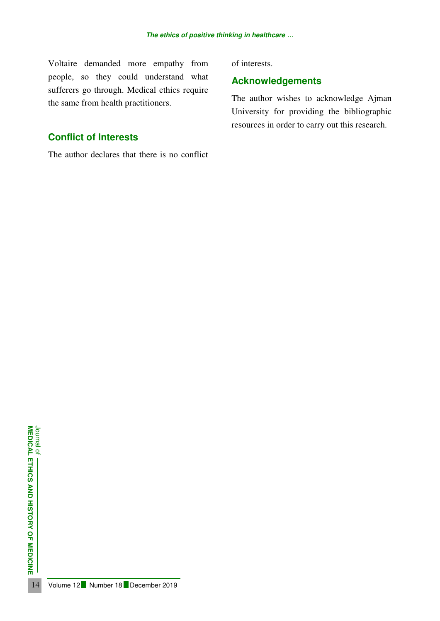Voltaire demanded more empathy from people, so they could understand what sufferers go through. Medical ethics require the same from health practitioners.

# **Conflict of Interests**

The author declares that there is no conflict

of interests.

# **Acknowledgements**

The author wishes to acknowledge Ajman University for providing the bibliographic resources in order to carry out this research.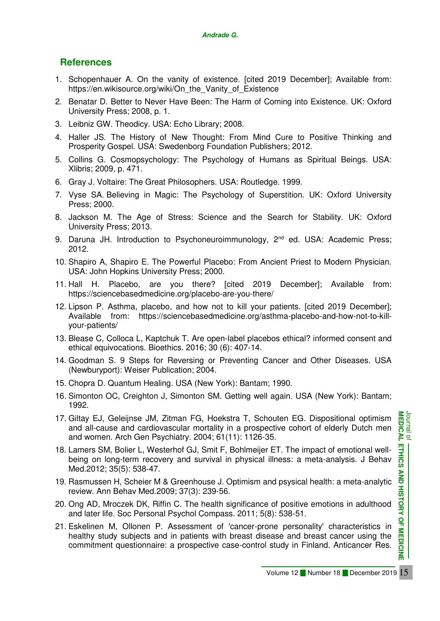# **References**

- 1. Schopenhauer A. On the vanity of existence. [cited 2019 December]; Available from: https://en.wikisource.org/wiki/On\_the\_Vanity\_of\_Existence
- 2. Benatar D. Better to Never Have Been: The Harm of Coming into Existence. UK: Oxford University Press; 2008, p. 1.
- 3. Leibniz GW. Theodicy. USA: Echo Library; 2008.
- 4. Haller JS. The History of New Thought: From Mind Cure to Positive Thinking and Prosperity Gospel. USA: Swedenborg Foundation Publishers; 2012.
- 5. Collins G. Cosmopsychology: The Psychology of Humans as Spiritual Beings. USA: Xlibris; 2009, p. 471.
- 6. Gray J. Voltaire: The Great Philosophers. USA: Routledge. 1999.
- 7. Vyse SA. Believing in Magic: The Psychology of Superstition. UK: Oxford University Press; 2000.
- 8. Jackson M. The Age of Stress: Science and the Search for Stability. UK: Oxford University Press; 2013.
- 9. Daruna JH. Introduction to Psychoneuroimmunology, 2<sup>nd</sup> ed. USA: Academic Press: 2012.
- 10. Shapiro A, Shapiro E. The Powerful Placebo: From Ancient Priest to Modern Physician. USA: John Hopkins University Press; 2000.
- 11. Hall H. Placebo, are you there? [cited 2019 December]; Available from: https://sciencebasedmedicine.org/placebo-are-you-there/
- 12. Lipson P. Asthma, placebo, and how not to kill your patients. [cited 2019 December]; Available from: https://sciencebasedmedicine.org/asthma-placebo-and-how-not-to-killyour-patients/
- 13. Blease C, Colloca L, Kaptchuk T. Are open-label placebos ethical? informed consent and ethical equivocations. Bioethics. 2016; 30 (6): 407-14.
- 14. Goodman S. 9 Steps for Reversing or Preventing Cancer and Other Diseases. USA (Newburyport): Weiser Publication; 2004.
- 15. Chopra D. Quantum Healing. USA (New York): Bantam; 1990.
- 16. Simonton OC, Creighton J, Simonton SM. Getting well again. USA (New York): Bantam; 1992.
- 17. Giltay EJ, Geleijnse JM, Zitman FG, Hoekstra T, Schouten EG. Dispositional optimism and all-cause and cardiovascular mortality in a prospective cohort of elderly Dutch men and women. Arch Gen Psychiatry. 2004; 61(11): 1126-35.
- 18. Lamers SM, Bolier L, Westerhof GJ, Smit F, Bohlmeijer ET. The impact of emotional wellbeing on long-term recovery and survival in physical illness: a meta-analysis. J Behav Med.2012; 35(5): 538-47.
- 19. Rasmussen H, Scheier M & Greenhouse J. Optimism and psysical health: a meta-analytic review. Ann Behav Med.2009; 37(3): 239-56.
- 20. Ong AD, Mroczek DK, Riffin C. The health significance of positive emotions in adulthood and later life. Soc Personal Psychol Compass. 2011; 5(8): 538-51.
- 21. Eskelinen M, Ollonen P. Assessment of 'cancer-prone personality' characteristics in healthy study subjects and in patients with breast disease and breast cancer using the commitment questionnaire: a prospective case-control study in Finland. Anticancer Res.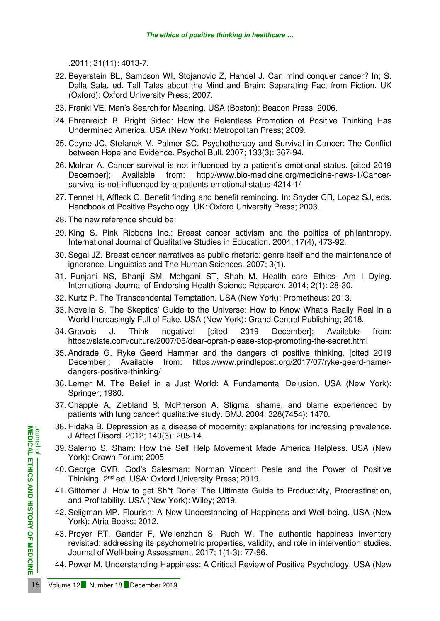.2011; 31(11): 4013-7.

- 22. Beyerstein BL, Sampson WI, Stojanovic Z, Handel J. Can mind conquer cancer? In; S. Della Sala, ed. Tall Tales about the Mind and Brain: Separating Fact from Fiction. UK (Oxford): Oxford University Press; 2007.
- 23. Frankl VE. Man's Search for Meaning. USA (Boston): Beacon Press. 2006.
- 24. Ehrenreich B. Bright Sided: How the Relentless Promotion of Positive Thinking Has Undermined America. USA (New York): Metropolitan Press; 2009.
- 25. Coyne JC, Stefanek M, Palmer SC. Psychotherapy and Survival in Cancer: The Conflict between Hope and Evidence. Psychol Bull. 2007; 133(3): 367-94.
- 26. Molnar A. Cancer survival is not influenced by a patient's emotional status. [cited 2019 Available from: http://www.bio-medicine.org/medicine-news-1/Cancersurvival-is-not-influenced-by-a-patients-emotional-status-4214-1/
- 27. Tennet H, Affleck G. Benefit finding and benefit reminding. In: Snyder CR, Lopez SJ, eds. Handbook of Positive Psychology. UK: Oxford University Press; 2003.
- 28. The new reference should be:
- 29. King S. Pink Ribbons Inc.: Breast cancer activism and the politics of philanthropy. International Journal of Qualitative Studies in Education. 2004; 17(4), 473-92.
- 30. Segal JZ. Breast cancer narratives as public rhetoric: genre itself and the maintenance of ignorance. Linguistics and The Human Sciences. 2007; 3(1).
- 31. Punjani NS, Bhanji SM, Mehgani ST, Shah M. Health care Ethics- Am I Dying. International Journal of Endorsing Health Science Research. 2014; 2(1): 28-30.
- 32. Kurtz P. The Transcendental Temptation. USA (New York): Prometheus; 2013.
- 33. Novella S. The Skeptics' Guide to the Universe: How to Know What's Really Real in a World Increasingly Full of Fake. USA (New York): Grand Central Publishing; 2018.
- 34. Gravois J. Think negative! [cited 2019 December]; Available from: https://slate.com/culture/2007/05/dear-oprah-please-stop-promoting-the-secret.html
- 35. Andrade G. Ryke Geerd Hammer and the dangers of positive thinking. [cited 2019 December]; Available from: https://www.prindlepost.org/2017/07/ryke-geerd-hamerdangers-positive-thinking/
- 36. Lerner M. The Belief in a Just World: A Fundamental Delusion. USA (New York): Springer; 1980.
- 37. Chapple A, Ziebland S, McPherson A. Stigma, shame, and blame experienced by patients with lung cancer: qualitative study. BMJ. 2004; 328(7454): 1470.
- 38. Hidaka B. Depression as a disease of modernity: explanations for increasing prevalence. J Affect Disord. 2012; 140(3): 205-14.
- 39. Salerno S. Sham: How the Self Help Movement Made America Helpless. USA (New York): Crown Forum; 2005.
- 40. George CVR. God's Salesman: Norman Vincent Peale and the Power of Positive Thinking, 2nd ed. USA: Oxford University Press; 2019.
- 41. Gittomer J. How to get Sh\*t Done: The Ultimate Guide to Productivity, Procrastination, and Profitability. USA (New York): Wiley; 2019.
- 42. Seligman MP. Flourish: A New Understanding of Happiness and Well-being. USA (New York): Atria Books; 2012.
- **EXAMPLE 16 SAMPLE 16 SAMPLE 12 Number 18 December 2019**<br> **16 Volume 12 Number 18 December 2019**<br> **16 Volume 12 Number 18 December 2019**<br> **16 Number 18 December 2019**<br> **16 Number 18 December 2019**<br> **16 Number 18 December 2** 43. Proyer RT, Gander F, Wellenzhon S, Ruch W. The authentic happiness inventory revisited: addressing its psychometric properties, validity, and role in intervention studies. Journal of Well-being Assessment. 2017; 1(1-3): 77-96.
	- 44. Power M. Understanding Happiness: A Critical Review of Positive Psychology. USA (New